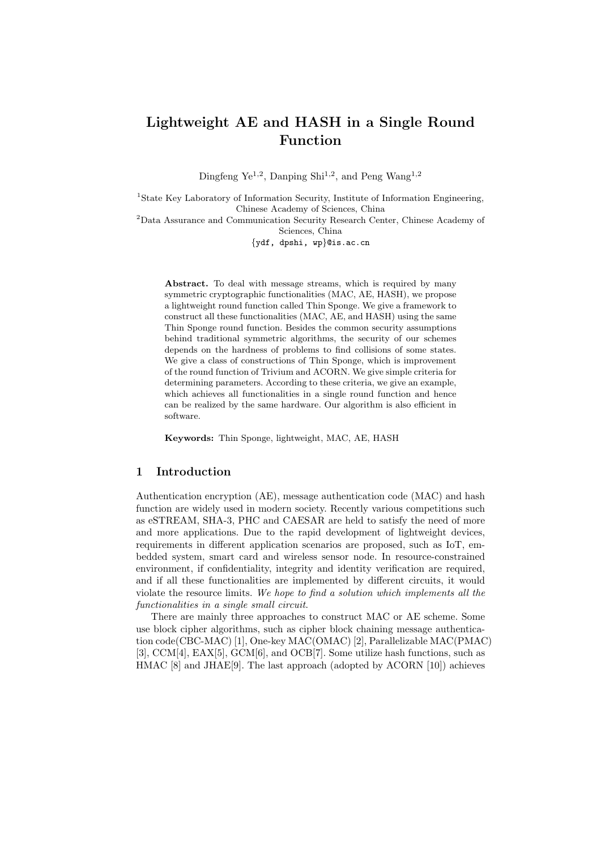# **Lightweight AE and HASH in a Single Round Function**

Dingfeng Ye<sup>1,2</sup>, Danping Shi<sup>1,2</sup>, and Peng Wang<sup>1,2</sup>

<sup>1</sup>State Key Laboratory of Information Security, Institute of Information Engineering, Chinese Academy of Sciences, China

<sup>2</sup>Data Assurance and Communication Security Research Center, Chinese Academy of Sciences, China

*{*ydf, dpshi, wp*}*@is.ac.cn

Abstract. To deal with message streams, which is required by many symmetric cryptographic functionalities (MAC, AE, HASH), we propose a lightweight round function called Thin Sponge. We give a framework to construct all these functionalities (MAC, AE, and HASH) using the same Thin Sponge round function. Besides the common security assumptions behind traditional symmetric algorithms, the security of our schemes depends on the hardness of problems to find collisions of some states. We give a class of constructions of Thin Sponge, which is improvement of the round function of Trivium and ACORN. We give simple criteria for determining parameters. According to these criteria, we give an example, which achieves all functionalities in a single round function and hence can be realized by the same hardware. Our algorithm is also efficient in software.

**Keywords:** Thin Sponge, lightweight, MAC, AE, HASH

# **1 Introduction**

Authentication encryption (AE), message authentication code (MAC) and hash function are widely used in modern society. Recently various competitions such as eSTREAM, SHA-3, PHC and CAESAR are held to satisfy the need of more and more applications. Due to the rapid development of lightweight devices, requirements in different application scenarios are proposed, such as IoT, embedded system, smart card and wireless sensor node. In resource-constrained environment, if confidentiality, integrity and identity verification are required, and if all these functionalities are implemented by different circuits, it would violate the resource limits. *We hope to find a solution which implements all the functionalities in a single small circuit*.

There are mainly three approaches to construct MAC or AE scheme. Some use block cipher algorithms, such as cipher block chaining message authentication code(CBC-MAC) [1], One-key MAC(OMAC) [2], Parallelizable MAC(PMAC) [3], CCM[4], EAX[5], GCM[6], and OCB[7]. Some utilize hash functions, such as HMAC [8] and JHAE[9]. The last approach (adopted by ACORN [10]) achieves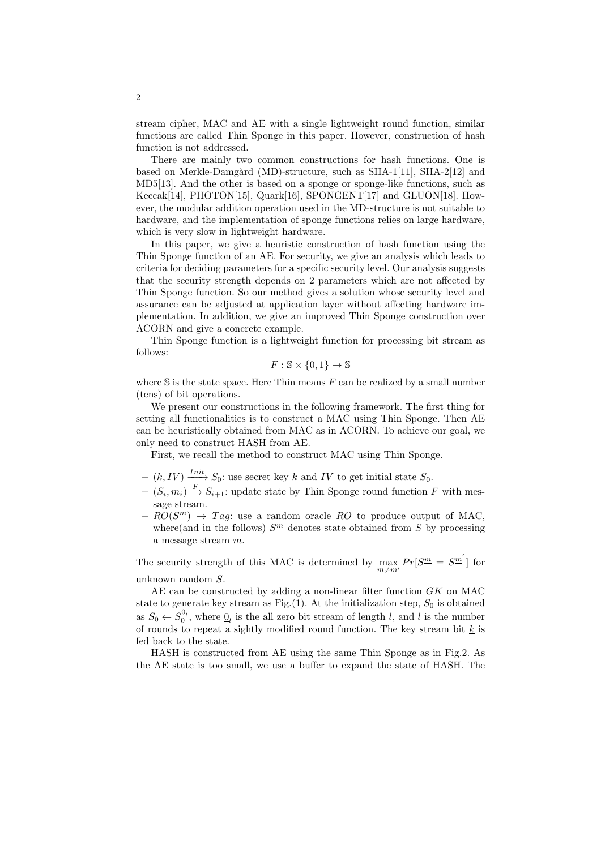stream cipher, MAC and AE with a single lightweight round function, similar functions are called Thin Sponge in this paper. However, construction of hash function is not addressed.

There are mainly two common constructions for hash functions. One is based on Merkle-Damgård (MD)-structure, such as  $SHA-1[11]$ ,  $SHA-2[12]$  and MD5[13]. And the other is based on a sponge or sponge-like functions, such as Keccak[14], PHOTON[15], Quark[16], SPONGENT[17] and GLUON[18]. However, the modular addition operation used in the MD-structure is not suitable to hardware, and the implementation of sponge functions relies on large hardware, which is very slow in lightweight hardware.

In this paper, we give a heuristic construction of hash function using the Thin Sponge function of an AE. For security, we give an analysis which leads to criteria for deciding parameters for a specific security level. Our analysis suggests that the security strength depends on 2 parameters which are not affected by Thin Sponge function. So our method gives a solution whose security level and assurance can be adjusted at application layer without affecting hardware implementation. In addition, we give an improved Thin Sponge construction over ACORN and give a concrete example.

Thin Sponge function is a lightweight function for processing bit stream as follows:

$$
F: \mathbb{S} \times \{0, 1\} \to \mathbb{S}
$$

where  $S$  is the state space. Here Thin means  $F$  can be realized by a small number (tens) of bit operations.

We present our constructions in the following framework. The first thing for setting all functionalities is to construct a MAC using Thin Sponge. Then AE can be heuristically obtained from MAC as in ACORN. To achieve our goal, we only need to construct HASH from AE.

First, we recall the method to construct MAC using Thin Sponge.

- $-$  (*k*, *IV*)  $\frac{Init}{ }$  *S*<sub>0</sub>: use secret key *k* and *IV* to get initial state *S*<sub>0</sub>.
- $−$   $(S_i, m_i)$   $\stackrel{F}{\rightarrow}$   $S_{i+1}$ : update state by Thin Sponge round function *F* with message stream.
- $-RO(S^m) \rightarrow Tag$ : use a random oracle RO to produce output of MAC, where(and in the follows)  $S<sup>m</sup>$  denotes state obtained from  $S$  by processing a message stream *m*.

The security strength of this MAC is determined by  $\max_{m \neq m'} Pr[S^m = S^m]$  for unknown random *S*.

AE can be constructed by adding a non-linear filter function *GK* on MAC state to generate key stream as Fig. $(1)$ . At the initialization step,  $S_0$  is obtained as  $S_0 \leftarrow S_0^{\mathcal{Q}_l}$ , where  $\mathcal{Q}_l$  is the all zero bit stream of length *l*, and *l* is the number of rounds to repeat a sightly modified round function. The key stream bit *k* is fed back to the state.

HASH is constructed from AE using the same Thin Sponge as in Fig.2. As the AE state is too small, we use a buffer to expand the state of HASH. The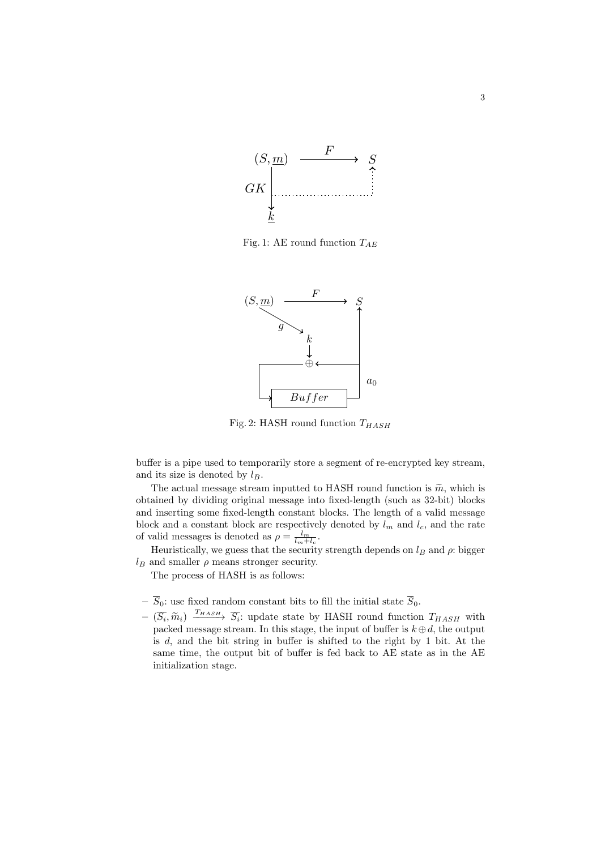

Fig. 1: AE round function *TAE*



Fig. 2: HASH round function *THASH*

buffer is a pipe used to temporarily store a segment of re-encrypted key stream, and its size is denoted by *lB*.

The actual message stream inputted to HASH round function is  $\tilde{m}$ , which is obtained by dividing original message into fixed-length (such as 32-bit) blocks and inserting some fixed-length constant blocks. The length of a valid message block and a constant block are respectively denoted by  $l_m$  and  $l_c$ , and the rate of valid messages is denoted as  $\rho = \frac{l_m}{l_m + l_c}$ .

Heuristically, we guess that the security strength depends on  $l_B$  and  $\rho$ : bigger  $l_B$  and smaller  $\rho$  means stronger security.

The process of HASH is as follows:

- $\overline{S}_0$  use fixed random constant bits to fill the initial state  $\overline{S}_0.$
- $-\left(\overline{S}_i, \widetilde{m}_i\right)$   $\frac{T_{HASH}}{\overline{S}_i}$ ; update state by HASH round function  $T_{HASH}$  with packed message stream. In this stage, the input of buffer is  $k \oplus d$ , the output packed message stream. In this stage, the input of buffer is  $k \oplus d$ , the output is *d*, and the bit string in buffer is shifted to the right by 1 bit. At the same time, the output bit of buffer is fed back to AE state as in the AE initialization stage.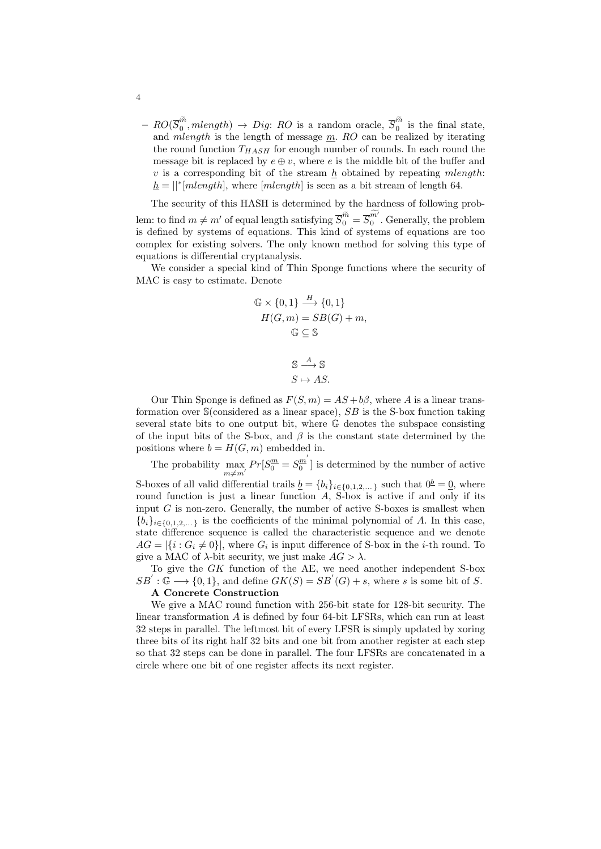$-RO(\overline{S}_0^{\widetilde{m}}, mlength) \rightarrow Dig: RO$  is a random oracle,  $\overline{S}_0^{\widetilde{m}}$  is the final state, and *mlength* is the length of message *m*. *RO* can be realized by iterating the round function  $T_{HASH}$  for enough number of rounds. In each round the message bit is replaced by  $e \oplus v$ , where  $e$  is the middle bit of the buffer and *v* is a corresponding bit of the stream *h* obtained by repeating *mlength*:  $h = ||^*[mlength]$ , where  $[mlength]$  is seen as a bit stream of length 64.

The security of this HASH is determined by the hardness of following problem: to find  $m \neq m'$  of equal length satisfying  $\overline{S}_0^{\widetilde{m}} = \overline{S}_0^{m'}$ . Generally, the problem is defined by systems of equations. This kind of systems of equations are too complex for existing solvers. The only known method for solving this type of equations is differential cryptanalysis.

We consider a special kind of Thin Sponge functions where the security of MAC is easy to estimate. Denote

$$
\mathbb{G} \times \{0, 1\} \xrightarrow{H} \{0, 1\}
$$

$$
H(G, m) = SB(G) + m,
$$

$$
\mathbb{G} \subseteq \mathbb{S}
$$

$$
\mathbb{S} \xrightarrow{A} \mathbb{S}
$$

$$
S \mapsto AS.
$$

Our Thin Sponge is defined as  $F(S, m) = AS + b\beta$ , where *A* is a linear transformation over S(considered as a linear space), *SB* is the S-box function taking several state bits to one output bit, where G denotes the subspace consisting of the input bits of the S-box, and  $\beta$  is the constant state determined by the positions where  $b = H(G, m)$  embedded in.

The probability  $\max_{m \neq m'} Pr[S_0^m = S_0^m]$  $\frac{dm}{0}$  is determined by the number of active S-boxes of all valid differential trails  $\underline{b} = \{b_i\}_{i \in \{0,1,2,...\}}$  such that  $0^{\underline{b}} = \underline{0}$ , where round function is just a linear function *A*, S-box is active if and only if its input *G* is non-zero. Generally, the number of active S-boxes is smallest when  ${b_i}_{i \in \{0,1,2,...\}}$  is the coefficients of the minimal polynomial of *A*. In this case, state difference sequence is called the characteristic sequence and we denote  $AG = |\{i : G_i \neq 0\}|$ , where  $G_i$  is input difference of S-box in the *i*-th round. To give a MAC of  $\lambda$ -bit security, we just make  $AG > \lambda$ .

To give the *GK* function of the AE, we need another independent S-box  $SB'$ :  $\mathbb{G} \longrightarrow \{0,1\}$ , and define  $GK(S) = SB'(G) + s$ , where *s* is some bit of *S*. **A Concrete Construction**

We give a MAC round function with 256-bit state for 128-bit security. The linear transformation *A* is defined by four 64-bit LFSRs, which can run at least 32 steps in parallel. The leftmost bit of every LFSR is simply updated by xoring three bits of its right half 32 bits and one bit from another register at each step so that 32 steps can be done in parallel. The four LFSRs are concatenated in a circle where one bit of one register affects its next register.

4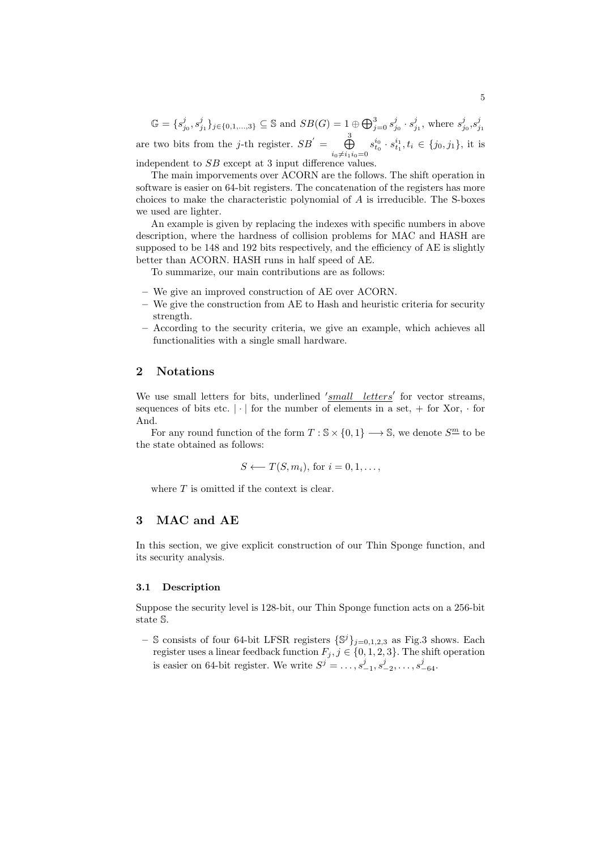$\mathbb{G} = \{s_{j_0}^j, s_{j_1}^j\}_{j \in \{0,1,\ldots,3\}} \subseteq \mathbb{S}$  and  $SB(G) = 1 \oplus \bigoplus_{j=0}^3 s_{j_0}^j \cdot s_{j_1}^j$ , where  $s_{j_0}^j, s_{j_1}^j$ are two bits from the *j*-th register.  $SB' = \bigoplus_{i=1}^{3}$  $i_0 \neq i_1 i_0 = 0$  $s_{t_0}^{i_0} \cdot s_{t_1}^{i_1}, t_i \in \{j_0, j_1\}$ , it is independent to *SB* except at 3 input difference values.

The main imporvements over ACORN are the follows. The shift operation in software is easier on 64-bit registers. The concatenation of the registers has more choices to make the characteristic polynomial of *A* is irreducible. The S-boxes we used are lighter.

An example is given by replacing the indexes with specific numbers in above description, where the hardness of collision problems for MAC and HASH are supposed to be 148 and 192 bits respectively, and the efficiency of AE is slightly better than ACORN. HASH runs in half speed of AE.

To summarize, our main contributions are as follows:

- **–** We give an improved construction of AE over ACORN.
- **–** We give the construction from AE to Hash and heuristic criteria for security strength.
- **–** According to the security criteria, we give an example, which achieves all functionalities with a single small hardware.

# **2 Notations**

We use small letters for bits, underlined *'small letters'* for vector streams, sequences of bits etc.  $|\cdot|$  for the number of elements in a set,  $+$  for Xor,  $\cdot$  for And.

For any round function of the form  $T : \mathbb{S} \times \{0,1\} \longrightarrow \mathbb{S}$ , we denote  $S^{\underline{m}}$  to be the state obtained as follows:

$$
S \longleftarrow T(S, m_i), \text{ for } i = 0, 1, \dots,
$$

where *T* is omitted if the context is clear.

# **3 MAC and AE**

In this section, we give explicit construction of our Thin Sponge function, and its security analysis.

# **3.1 Description**

Suppose the security level is 128-bit, our Thin Sponge function acts on a 256-bit state S.

**–** S consists of four 64-bit LFSR registers *{*S *<sup>j</sup>}j*=0*,*1*,*2*,*<sup>3</sup> as Fig.3 shows. Each register uses a linear feedback function  $F_j$ ,  $j \in \{0, 1, 2, 3\}$ . The shift operation is easier on 64-bit register. We write  $S^j = \ldots, s_{-1}^j, s_{-2}^j, \ldots, s_{-64}^j$ .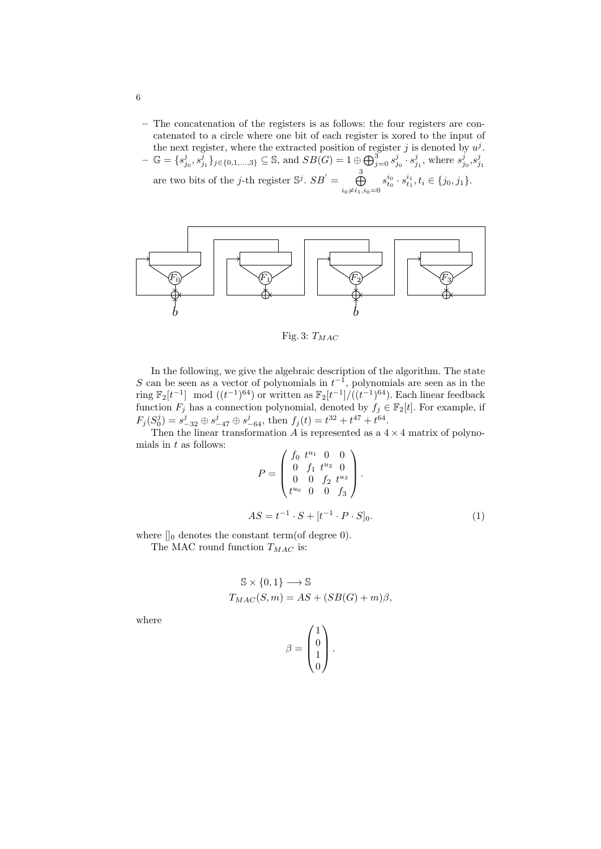**–** The concatenation of the registers is as follows: the four registers are concatenated to a circle where one bit of each register is xored to the input of the next register, where the extracted position of register  $j$  is denoted by  $u^j$ .

 $-\ \mathbb{G} = \{s_{j_0}^j, s_{j_1}^{\bar{j}}\}_{j \in \{0,1,\ldots,3\}} \subseteq \mathbb{S}$ , and  $SB(G) = 1 \oplus \bigoplus_{j=0}^3 s_{j_0}^j \cdot s_{j_1}^j$ , where  $s_{j_0}^j, s_{j_1}^j$ are two bits of the *j*-th register  $\mathbb{S}^j$ .  $SB' = \bigoplus_{i=1}^3$  $i_0 \neq i_1, i_0 = 0$  $s_{t_0}^{i_0} \cdot s_{t_1}^{i_1}, t_i \in \{j_0, j_1\}.$ 



Fig. 3: *TMAC*

In the following, we give the algebraic description of the algorithm. The state *S* can be seen as a vector of polynomials in  $t^{-1}$ , polynomials are seen as in the ring  $\mathbb{F}_2[t^{-1}]$  mod  $((t^{-1})^{64})$  or written as  $\mathbb{F}_2[t^{-1}]/((t^{-1})^{64})$ . Each linear feedback function  $F_j$  has a connection polynomial, denoted by  $f_j \in \mathbb{F}_2[t]$ . For example, if  $F_j(S_0^j) = s_{-32}^j \oplus s_{-47}^j \oplus s_{-64}^j$ , then  $f_j(t) = t^{32} + t^{47} + t^{64}$ .

Then the linear transformation  $A$  is represented as a  $4 \times 4$  matrix of polynomials in *t* as follows:

$$
P = \begin{pmatrix} f_0 \ t^{u_1} & 0 & 0 \\ 0 & f_1 \ t^{u_2} & 0 \\ 0 & 0 \ t_2 \ t^{u_3} \\ t^{u_0} & 0 & 0 \ t_3 \end{pmatrix}.
$$
  

$$
AS = t^{-1} \cdot S + [t^{-1} \cdot P \cdot S]_0.
$$
 (1)

where  $\parallel_0$  denotes the constant term(of degree 0).

The MAC round function *TMAC* is:

$$
S \times \{0, 1\} \longrightarrow S
$$
  

$$
T_{MAC}(S, m) = AS + (SB(G) + m)\beta,
$$

where

$$
\beta = \begin{pmatrix} 1 \\ 0 \\ 1 \\ 0 \end{pmatrix}.
$$

6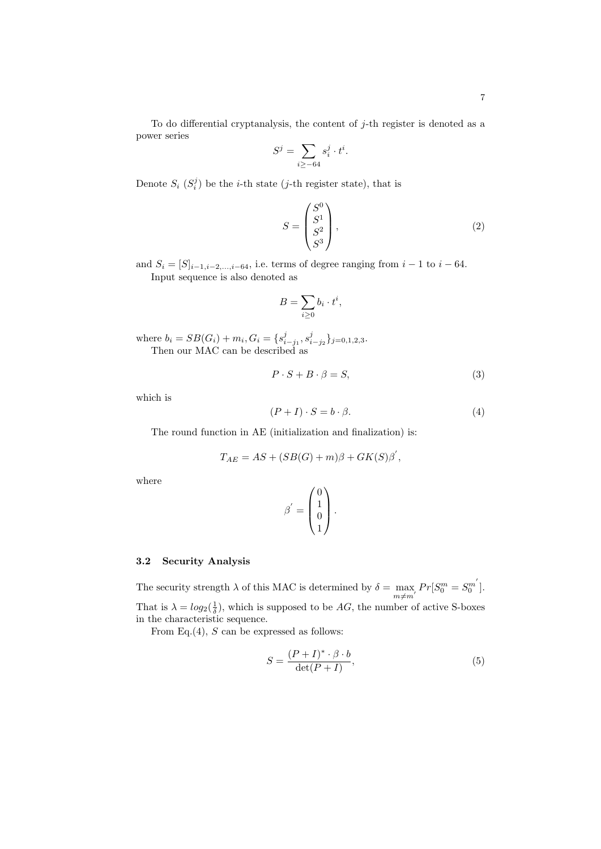To do differential cryptanalysis, the content of *j*-th register is denoted as a power series

$$
S^j = \sum_{i \ge -64} s_i^j \cdot t^i.
$$

Denote  $S_i$   $(S_i^j)$  be the *i*-th state (*j*-th register state), that is

$$
S = \begin{pmatrix} S^0 \\ S^1 \\ S^2 \\ S^3 \end{pmatrix},
$$
 (2)

and  $S_i = [S]_{i-1,i-2,\dots,i-64}$ , i.e. terms of degree ranging from  $i-1$  to  $i-64$ . Input sequence is also denoted as

$$
B = \sum_{i \ge 0} b_i \cdot t^i,
$$

where  $b_i = SB(G_i) + m_i, G_i = \{s_{i-j_1}^j, s_{i-j_2}^j\}_{j=0,1,2,3}$ . Then our MAC can be described as

$$
P \cdot S + B \cdot \beta = S,\tag{3}
$$

which is

$$
(P+I)\cdot S = b\cdot \beta. \tag{4}
$$

The round function in AE (initialization and finalization) is:

$$
T_{AE} = AS + (SB(G) + m)\beta + GK(S)\beta',
$$

where

$$
\boldsymbol{\beta}' = \begin{pmatrix} 0 \\ 1 \\ 0 \\ 1 \end{pmatrix}.
$$

# **3.2 Security Analysis**

The security strength  $\lambda$  of this MAC is determined by  $\delta = \max_{m \neq m'} Pr[S_0^m = S_0^{m'}].$ That is  $\lambda = \log_2(\frac{1}{\delta})$ , which is supposed to be *AG*, the number of active S-boxes in the characteristic sequence.

From Eq.(4), *S* can be expressed as follows:

$$
S = \frac{(P+I)^{*} \cdot \beta \cdot b}{\det(P+I)},
$$
\n(5)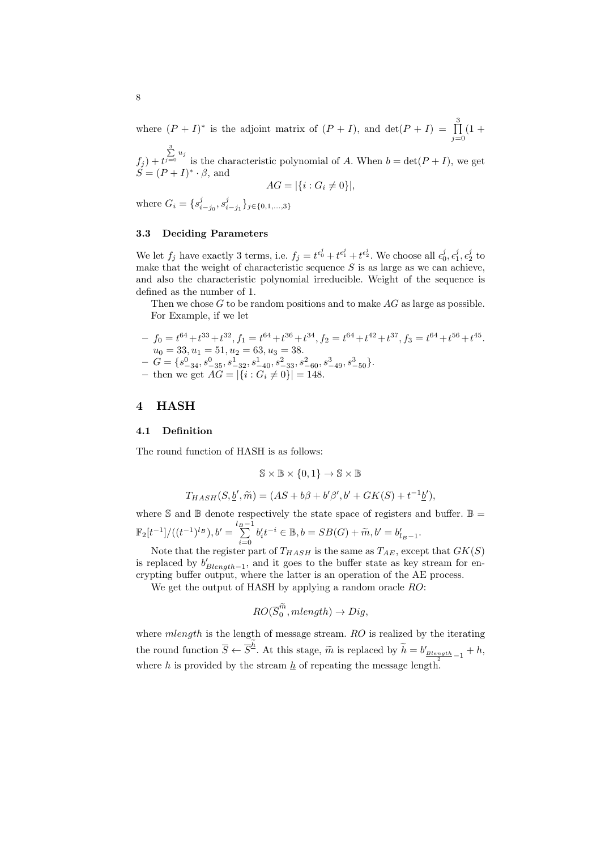where  $(P + I)^*$  is the adjoint matrix of  $(P + I)$ , and  $\det(P + I) = \prod_{i=1}^{3}$ *j*=0  $(1 +$ 

 $f_j$ ) + *t*  $\sum_{j=0}^{3} u_j$  is the characteristic polynomial of *A*. When  $b = \det(P + I)$ , we get  $S = (P + I)^* \cdot \beta$ , and

$$
AG = |\{i : G_i \neq 0\}|,
$$

where  $G_i = \{s_{i-j_0}^j, s_{i-j_1}^j\}_{j \in \{0,1,\ldots,3\}}$ 

## **3.3 Deciding Parameters**

We let  $f_j$  have exactly 3 terms, i.e.  $f_j = t^{\epsilon_0^j} + t^{\epsilon_1^j} + t^{\epsilon_2^j}$ . We choose all  $\epsilon_0^j, \epsilon_1^j, \epsilon_2^j$  to make that the weight of characteristic sequence *S* is as large as we can achieve, and also the characteristic polynomial irreducible. Weight of the sequence is defined as the number of 1.

Then we chose *G* to be random positions and to make *AG* as large as possible. For Example, if we let

 $f_0 = t^{64} + t^{33} + t^{32}, f_1 = t^{64} + t^{36} + t^{34}, f_2 = t^{64} + t^{42} + t^{37}, f_3 = t^{64} + t^{56} + t^{45}.$  $u_0 = 33, u_1 = 51, u_2 = 63, u_3 = 38.$  $-G = \{s_{-34}^0, s_{-35}^0, s_{-32}^1, s_{-40}^1, s_{-33}^2, s_{-60}^2, s_{-49}^3, s_{-50}^3\}.$ 

 $-$  then we get  $AG = |\{i : G_i \neq 0\}| = 148.$ 

# **4 HASH**

#### **4.1 Definition**

The round function of HASH is as follows:

$$
\mathbb{S}\times\mathbb{B}\times\{0,1\}\to\mathbb{S}\times\mathbb{B}
$$

$$
T_{HASH}(S, \underline{b}', \widetilde{m}) = (AS + b\beta + b'\beta', b' + GK(S) + t^{-1}\underline{b}'),
$$

where  $\mathbb S$  and  $\mathbb B$  denote respectively the state space of registers and buffer.  $\mathbb B =$  $\mathbb{F}_2[t^{-1}]/((t^{-1})^{l_B}), b' = \sum_{i=0}^{l_B-1}$  $b'_{i}t^{-i} \in \mathbb{B}, b = SB(G) + \widetilde{m}, b' = b'_{l_{B}-1}.$ 

Note that the register part of  $T_{HASH}$  is the same as  $T_{AE}$ , except that  $GK(S)$ is replaced by  $b'_{Blength-1}$ , and it goes to the buffer state as key stream for encrypting buffer output, where the latter is an operation of the AE process.

We get the output of HASH by applying a random oracle *RO*:

$$
RO(\overline{S}_0^{\widetilde{m}},mlength) \to Dig,
$$

where *mlength* is the length of message stream. *RO* is realized by the iterating the round function  $\overline{S} \leftarrow \overline{S}^{\underline{h}}$ . At this stage,  $\widetilde{m}$  is replaced by  $\widetilde{h} = b'_{\underline{Blength-1}} + h$ , where *h* is provided by the stream  $h$  of repeating the message length.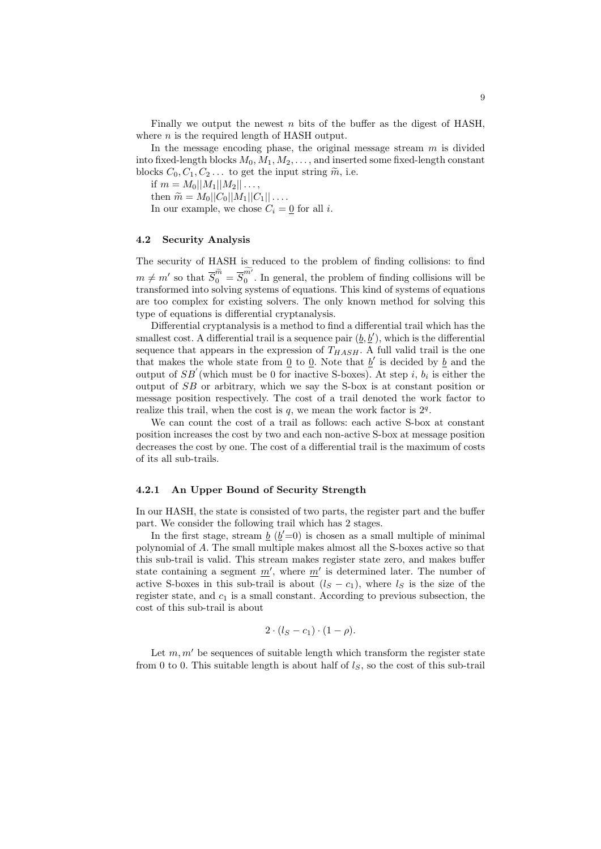Finally we output the newest *n* bits of the buffer as the digest of HASH, where *n* is the required length of HASH output.

In the message encoding phase, the original message stream *m* is divided into fixed-length blocks  $M_0, M_1, M_2, \ldots$ , and inserted some fixed-length constant blocks  $C_0, C_1, C_2, \ldots$  to get the input string  $\tilde{m}$ , i.e.

if  $m = M_0 ||M_1||M_2||...$ 

 $\hat{m} = M_0 |C_0| |M_1| |C_1| | \dots$ 

In our example, we chose  $C_i = 0$  for all *i*.

#### **4.2 Security Analysis**

The security of HASH is reduced to the problem of finding collisions: to find  $m \neq m'$  so that  $\overline{S}_0^{\widetilde{m}} = \overline{S}_0^{m'}$ . In general, the problem of finding collisions will be transformed into solving systems of equations. This kind of systems of equations are too complex for existing solvers. The only known method for solving this type of equations is differential cryptanalysis.

Differential cryptanalysis is a method to find a differential trail which has the smallest cost. A differential trail is a sequence pair  $(\underline{b}, \underline{b}')$ , which is the differential sequence that appears in the expression of  $T_{HASH}$ . A full valid trail is the one that makes the whole state from  $\underline{0}$  to  $\underline{0}$ . Note that  $\underline{b}'$  is decided by  $\underline{b}$  and the output of *SB′* (which must be 0 for inactive S-boxes). At step *i*, *b<sup>i</sup>* is either the output of *SB* or arbitrary, which we say the S-box is at constant position or message position respectively. The cost of a trail denoted the work factor to realize this trail, when the cost is  $q$ , we mean the work factor is  $2<sup>q</sup>$ .

We can count the cost of a trail as follows: each active S-box at constant position increases the cost by two and each non-active S-box at message position decreases the cost by one. The cost of a differential trail is the maximum of costs of its all sub-trails.

# **4.2.1 An Upper Bound of Security Strength**

In our HASH, the state is consisted of two parts, the register part and the buffer part. We consider the following trail which has 2 stages.

In the first stage, stream  $\underline{b}$  ( $\underline{b}'=0$ ) is chosen as a small multiple of minimal polynomial of *A*. The small multiple makes almost all the S-boxes active so that this sub-trail is valid. This stream makes register state zero, and makes buffer state containing a segment  $\underline{m}'$ , where  $\underline{m}'$  is determined later. The number of active S-boxes in this sub-trail is about  $(l_S - c_1)$ , where  $l_S$  is the size of the register state, and  $c_1$  is a small constant. According to previous subsection, the cost of this sub-trail is about

$$
2\cdot (l_S-c_1)\cdot (1-\rho).
$$

Let  $m, m'$  be sequences of suitable length which transform the register state from 0 to 0. This suitable length is about half of  $l<sub>S</sub>$ , so the cost of this sub-trail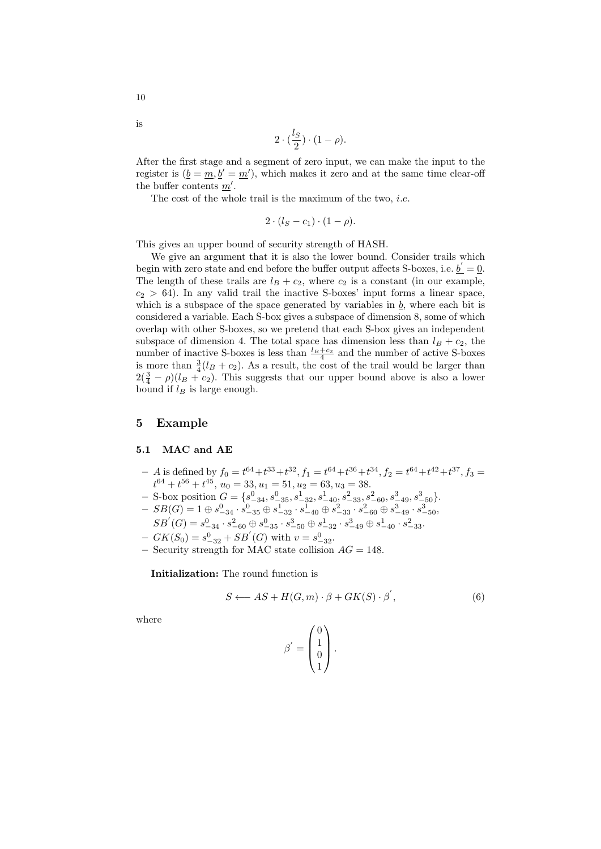$$
2\cdot(\frac{l_S}{2})\cdot(1-\rho).
$$

After the first stage and a segment of zero input, we can make the input to the register is  $(\underline{b} = \underline{m}, \underline{b}' = \underline{m}')$ , which makes it zero and at the same time clear-off the buffer contents *m′ .*

The cost of the whole trail is the maximum of the two, *i.e.*

$$
2\cdot (l_S-c_1)\cdot (1-\rho).
$$

This gives an upper bound of security strength of HASH.

We give an argument that it is also the lower bound. Consider trails which begin with zero state and end before the buffer output affects S-boxes, i.e.  $\underline{b}' = \underline{0}$ . The length of these trails are  $l_B + c_2$ , where  $c_2$  is a constant (in our example,  $c_2 > 64$ ). In any valid trail the inactive S-boxes' input forms a linear space, which is a subspace of the space generated by variables in *b*, where each bit is considered a variable. Each S-box gives a subspace of dimension 8, some of which overlap with other S-boxes, so we pretend that each S-box gives an independent subspace of dimension 4. The total space has dimension less than  $l_B + c_2$ , the number of inactive S-boxes is less than  $\frac{l_B+c_2}{4}$  and the number of active S-boxes is more than  $\frac{3}{4}(l_B + c_2)$ . As a result, the cost of the trail would be larger than  $2(\frac{3}{4} - \rho)(l_B + c_2)$ . This suggests that our upper bound above is also a lower bound if  $l_B$  is large enough.

# **5 Example**

#### **5.1 MAC and AE**

- $-$  *A* is defined by  $f_0 = t^{64} + t^{33} + t^{32}$ ,  $f_1 = t^{64} + t^{36} + t^{34}$ ,  $f_2 = t^{64} + t^{42} + t^{37}$ ,  $f_3 =$  $t^{64} + t^{56} + t^{45}$ ,  $u_0 = 33$ ,  $u_1 = 51$ ,  $u_2 = 63$ ,  $u_3 = 38$ .
- S-box position  $G = \{s_{-34}^0, s_{-35}^0, s_{-32}^1, s_{-40}^1, s_{-33}^2, s_{-60}^2, s_{-49}^3, s_{-50}^3\}.$
- $-{}$   $SB(G) = 1 \oplus s_{-34}^0 \cdot s_{-35}^0 \oplus s_{-32}^1 \cdot s_{-40}^1 \oplus s_{-33}^2 \cdot s_{-60}^2 \oplus s_{-49}^3 \cdot s_{-50}^3$  $SB^{'}(G)=s_{-34}^0\cdot s_{-60}^2\oplus s_{-35}^0\cdot s_{-50}^3\oplus s_{-32}^1\cdot s_{-49}^3\oplus s_{-40}^1\cdot s_{-33}^2.$
- $-GK(S_0) = s_{-32}^0 + SB'(G)$  with  $v = s_{-32}^0$ .
- **–** Security strength for MAC state collision *AG* = 148.

**Initialization:** The round function is

$$
S \longleftarrow AS + H(G, m) \cdot \beta + GK(S) \cdot \beta', \tag{6}
$$

where

$$
\beta' = \begin{pmatrix} 0 \\ 1 \\ 0 \\ 1 \end{pmatrix}.
$$

10

is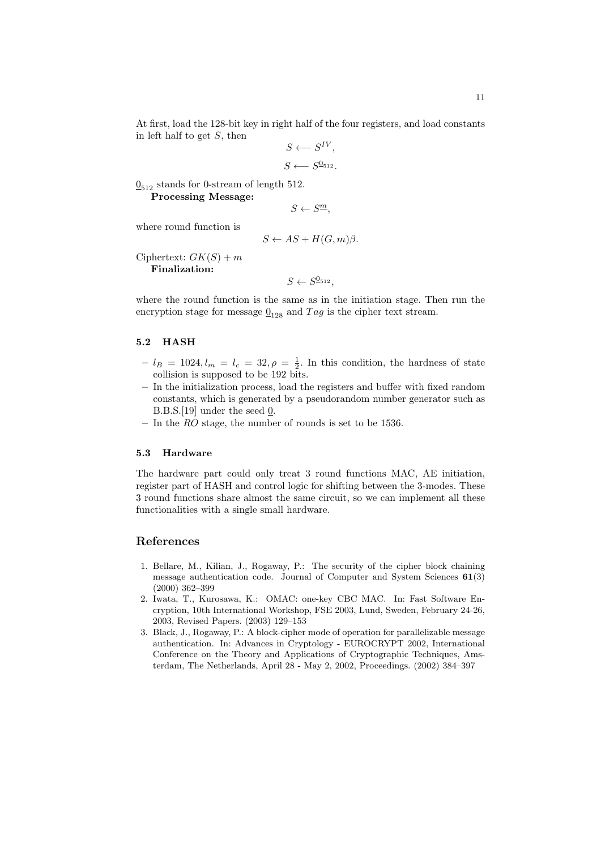At first, load the 128-bit key in right half of the four registers, and load constants in left half to get *S*, then

$$
S \longleftarrow S^{IV},
$$
  

$$
S \longleftarrow S^{0_{512}}.
$$

 $\underline{0}_{512}$  stands for 0-stream of length 512.

**Processing Message:**

$$
S \leftarrow S^{\underline{m}},
$$

where round function is

$$
S \leftarrow AS + H(G, m)\beta.
$$

 $Ciphertext: GK(S) + m$ **Finalization:**

 $S \leftarrow S^{0_{512}},$ 

where the round function is the same as in the initiation stage. Then run the encryption stage for message  $\underline{0}_{128}$  and  $Tag$  is the cipher text stream.

# **5.2 HASH**

- $-l_B = 1024, l_m = l_c = 32, \rho = \frac{1}{2}$ . In this condition, the hardness of state collision is supposed to be 192 bits.
- **–** In the initialization process, load the registers and buffer with fixed random constants, which is generated by a pseudorandom number generator such as B.B.S.[19] under the seed 0.
- **–** In the *RO* stage, the number of rounds is set to be 1536.

#### **5.3 Hardware**

The hardware part could only treat 3 round functions MAC, AE initiation, register part of HASH and control logic for shifting between the 3-modes. These 3 round functions share almost the same circuit, so we can implement all these functionalities with a single small hardware.

# **References**

- 1. Bellare, M., Kilian, J., Rogaway, P.: The security of the cipher block chaining message authentication code. Journal of Computer and System Sciences **61**(3) (2000) 362–399
- 2. Iwata, T., Kurosawa, K.: OMAC: one-key CBC MAC. In: Fast Software Encryption, 10th International Workshop, FSE 2003, Lund, Sweden, February 24-26, 2003, Revised Papers. (2003) 129–153
- 3. Black, J., Rogaway, P.: A block-cipher mode of operation for parallelizable message authentication. In: Advances in Cryptology - EUROCRYPT 2002, International Conference on the Theory and Applications of Cryptographic Techniques, Amsterdam, The Netherlands, April 28 - May 2, 2002, Proceedings. (2002) 384–397